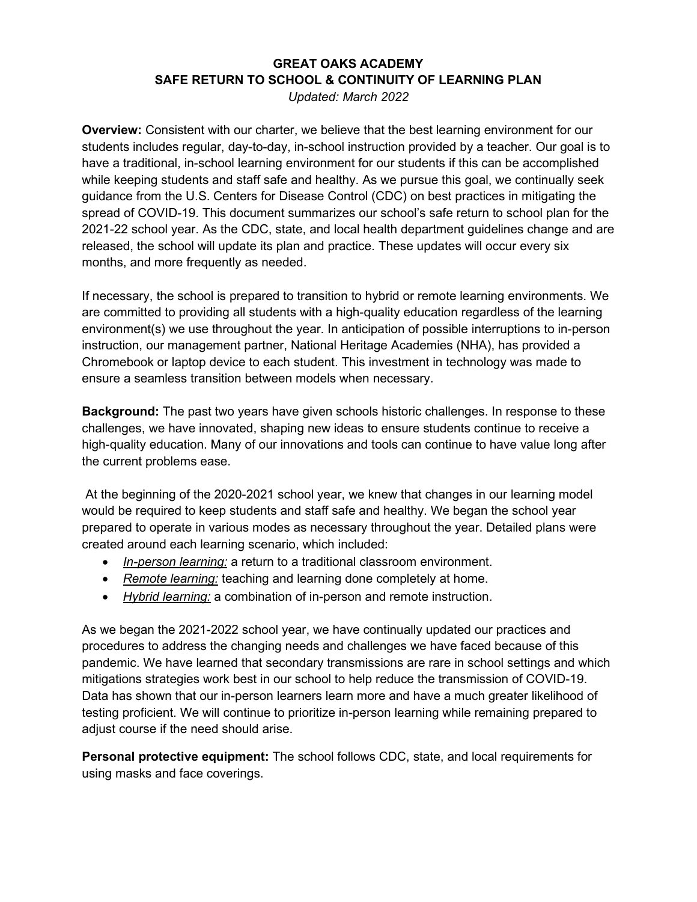## **GREAT OAKS ACADEMY SAFE RETURN TO SCHOOL & CONTINUITY OF LEARNING PLAN**

*Updated: March 2022* 

**Overview:** Consistent with our charter, we believe that the best learning environment for our students includes regular, day-to-day, in-school instruction provided by a teacher. Our goal is to have a traditional, in-school learning environment for our students if this can be accomplished while keeping students and staff safe and healthy. As we pursue this goal, we continually seek guidance from the U.S. Centers for Disease Control (CDC) on best practices in mitigating the spread of COVID-19. This document summarizes our school's safe return to school plan for the 2021-22 school year. As the CDC, state, and local health department guidelines change and are released, the school will update its plan and practice. These updates will occur every six months, and more frequently as needed.

If necessary, the school is prepared to transition to hybrid or remote learning environments. We are committed to providing all students with a high-quality education regardless of the learning environment(s) we use throughout the year. In anticipation of possible interruptions to in-person instruction, our management partner, National Heritage Academies (NHA), has provided a Chromebook or laptop device to each student. This investment in technology was made to ensure a seamless transition between models when necessary.

**Background:** The past two years have given schools historic challenges. In response to these challenges, we have innovated, shaping new ideas to ensure students continue to receive a high-quality education. Many of our innovations and tools can continue to have value long after the current problems ease.

At the beginning of the 2020-2021 school year, we knew that changes in our learning model would be required to keep students and staff safe and healthy. We began the school year prepared to operate in various modes as necessary throughout the year. Detailed plans were created around each learning scenario, which included:

- *In-person learning:* a return to a traditional classroom environment.
- *Remote learning:* teaching and learning done completely at home.
- *Hybrid learning:* a combination of in-person and remote instruction.

As we began the 2021-2022 school year, we have continually updated our practices and procedures to address the changing needs and challenges we have faced because of this pandemic. We have learned that secondary transmissions are rare in school settings and which mitigations strategies work best in our school to help reduce the transmission of COVID-19. Data has shown that our in-person learners learn more and have a much greater likelihood of testing proficient. We will continue to prioritize in-person learning while remaining prepared to adjust course if the need should arise.

**Personal protective equipment:** The school follows CDC, state, and local requirements for using masks and face coverings.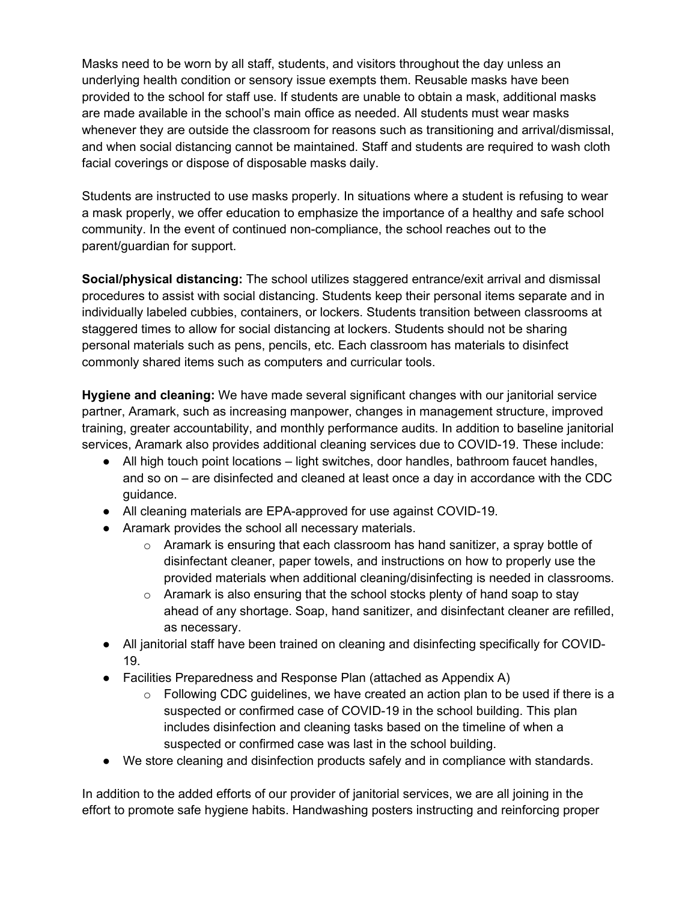Masks need to be worn by all staff, students, and visitors throughout the day unless an underlying health condition or sensory issue exempts them. Reusable masks have been provided to the school for staff use. If students are unable to obtain a mask, additional masks are made available in the school's main office as needed. All students must wear masks whenever they are outside the classroom for reasons such as transitioning and arrival/dismissal, and when social distancing cannot be maintained. Staff and students are required to wash cloth facial coverings or dispose of disposable masks daily.

Students are instructed to use masks properly. In situations where a student is refusing to wear a mask properly, we offer education to emphasize the importance of a healthy and safe school community. In the event of continued non-compliance, the school reaches out to the parent/guardian for support.

**Social/physical distancing:** The school utilizes staggered entrance/exit arrival and dismissal procedures to assist with social distancing. Students keep their personal items separate and in individually labeled cubbies, containers, or lockers. Students transition between classrooms at staggered times to allow for social distancing at lockers. Students should not be sharing personal materials such as pens, pencils, etc. Each classroom has materials to disinfect commonly shared items such as computers and curricular tools.

**Hygiene and cleaning:** We have made several significant changes with our janitorial service partner, Aramark, such as increasing manpower, changes in management structure, improved training, greater accountability, and monthly performance audits. In addition to baseline janitorial services, Aramark also provides additional cleaning services due to COVID-19. These include:

- All high touch point locations light switches, door handles, bathroom faucet handles, and so on – are disinfected and cleaned at least once a day in accordance with the CDC guidance.
- All cleaning materials are EPA-approved for use against COVID-19.
- Aramark provides the school all necessary materials.
	- $\circ$  Aramark is ensuring that each classroom has hand sanitizer, a spray bottle of disinfectant cleaner, paper towels, and instructions on how to properly use the provided materials when additional cleaning/disinfecting is needed in classrooms.
	- $\circ$  Aramark is also ensuring that the school stocks plenty of hand soap to stay ahead of any shortage. Soap, hand sanitizer, and disinfectant cleaner are refilled, as necessary.
- All janitorial staff have been trained on cleaning and disinfecting specifically for COVID-19.
- Facilities Preparedness and Response Plan (attached as Appendix A)
	- $\circ$  Following CDC guidelines, we have created an action plan to be used if there is a suspected or confirmed case of COVID-19 in the school building. This plan includes disinfection and cleaning tasks based on the timeline of when a suspected or confirmed case was last in the school building.
- We store cleaning and disinfection products safely and in compliance with standards.

In addition to the added efforts of our provider of janitorial services, we are all joining in the effort to promote safe hygiene habits. Handwashing posters instructing and reinforcing proper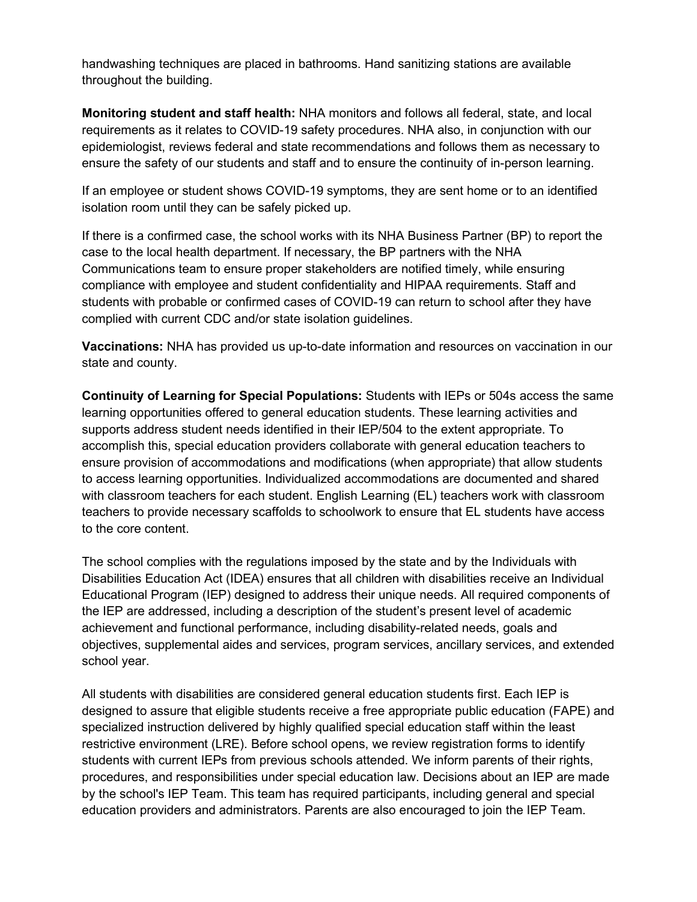handwashing techniques are placed in bathrooms. Hand sanitizing stations are available throughout the building.

**Monitoring student and staff health:** NHA monitors and follows all federal, state, and local requirements as it relates to COVID-19 safety procedures. NHA also, in conjunction with our epidemiologist, reviews federal and state recommendations and follows them as necessary to ensure the safety of our students and staff and to ensure the continuity of in-person learning.

If an employee or student shows COVID-19 symptoms, they are sent home or to an identified isolation room until they can be safely picked up.

If there is a confirmed case, the school works with its NHA Business Partner (BP) to report the case to the local health department. If necessary, the BP partners with the NHA Communications team to ensure proper stakeholders are notified timely, while ensuring compliance with employee and student confidentiality and HIPAA requirements. Staff and students with probable or confirmed cases of COVID-19 can return to school after they have complied with current CDC and/or state isolation guidelines.

**Vaccinations:** NHA has provided us up-to-date information and resources on vaccination in our state and county.

**Continuity of Learning for Special Populations:** Students with IEPs or 504s access the same learning opportunities offered to general education students. These learning activities and supports address student needs identified in their IEP/504 to the extent appropriate. To accomplish this, special education providers collaborate with general education teachers to ensure provision of accommodations and modifications (when appropriate) that allow students to access learning opportunities. Individualized accommodations are documented and shared with classroom teachers for each student. English Learning (EL) teachers work with classroom teachers to provide necessary scaffolds to schoolwork to ensure that EL students have access to the core content.

The school complies with the regulations imposed by the state and by the Individuals with Disabilities Education Act (IDEA) ensures that all children with disabilities receive an Individual Educational Program (IEP) designed to address their unique needs. All required components of the IEP are addressed, including a description of the student's present level of academic achievement and functional performance, including disability-related needs, goals and objectives, supplemental aides and services, program services, ancillary services, and extended school year.

All students with disabilities are considered general education students first. Each IEP is designed to assure that eligible students receive a free appropriate public education (FAPE) and specialized instruction delivered by highly qualified special education staff within the least restrictive environment (LRE). Before school opens, we review registration forms to identify students with current IEPs from previous schools attended. We inform parents of their rights, procedures, and responsibilities under special education law. Decisions about an IEP are made by the school's IEP Team. This team has required participants, including general and special education providers and administrators. Parents are also encouraged to join the IEP Team.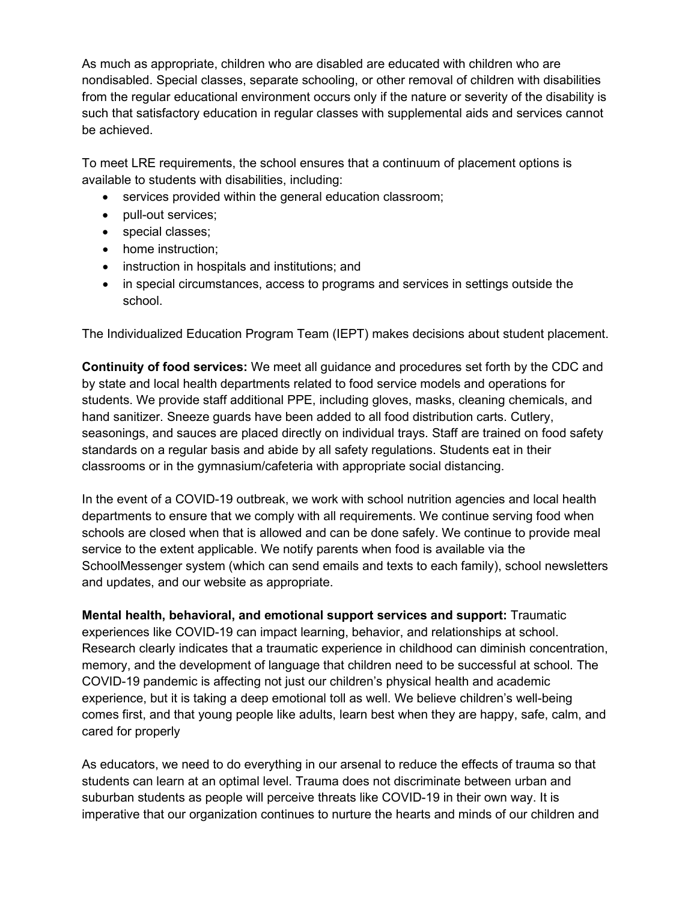As much as appropriate, children who are disabled are educated with children who are nondisabled. Special classes, separate schooling, or other removal of children with disabilities from the regular educational environment occurs only if the nature or severity of the disability is such that satisfactory education in regular classes with supplemental aids and services cannot be achieved.

To meet LRE requirements, the school ensures that a continuum of placement options is available to students with disabilities, including:

- services provided within the general education classroom;
- pull-out services;
- special classes;
- home instruction:
- instruction in hospitals and institutions; and
- in special circumstances, access to programs and services in settings outside the school.

The Individualized Education Program Team (IEPT) makes decisions about student placement.

**Continuity of food services:** We meet all guidance and procedures set forth by the CDC and by state and local health departments related to food service models and operations for students. We provide staff additional PPE, including gloves, masks, cleaning chemicals, and hand sanitizer. Sneeze guards have been added to all food distribution carts. Cutlery, seasonings, and sauces are placed directly on individual trays. Staff are trained on food safety standards on a regular basis and abide by all safety regulations. Students eat in their classrooms or in the gymnasium/cafeteria with appropriate social distancing.

In the event of a COVID-19 outbreak, we work with school nutrition agencies and local health departments to ensure that we comply with all requirements. We continue serving food when schools are closed when that is allowed and can be done safely. We continue to provide meal service to the extent applicable. We notify parents when food is available via the SchoolMessenger system (which can send emails and texts to each family), school newsletters and updates, and our website as appropriate.

**Mental health, behavioral, and emotional support services and support:** Traumatic experiences like COVID-19 can impact learning, behavior, and relationships at school. Research clearly indicates that a traumatic experience in childhood can diminish concentration, memory, and the development of language that children need to be successful at school. The COVID-19 pandemic is affecting not just our children's physical health and academic experience, but it is taking a deep emotional toll as well. We believe children's well-being comes first, and that young people like adults, learn best when they are happy, safe, calm, and cared for properly

As educators, we need to do everything in our arsenal to reduce the effects of trauma so that students can learn at an optimal level. Trauma does not discriminate between urban and suburban students as people will perceive threats like COVID-19 in their own way. It is imperative that our organization continues to nurture the hearts and minds of our children and